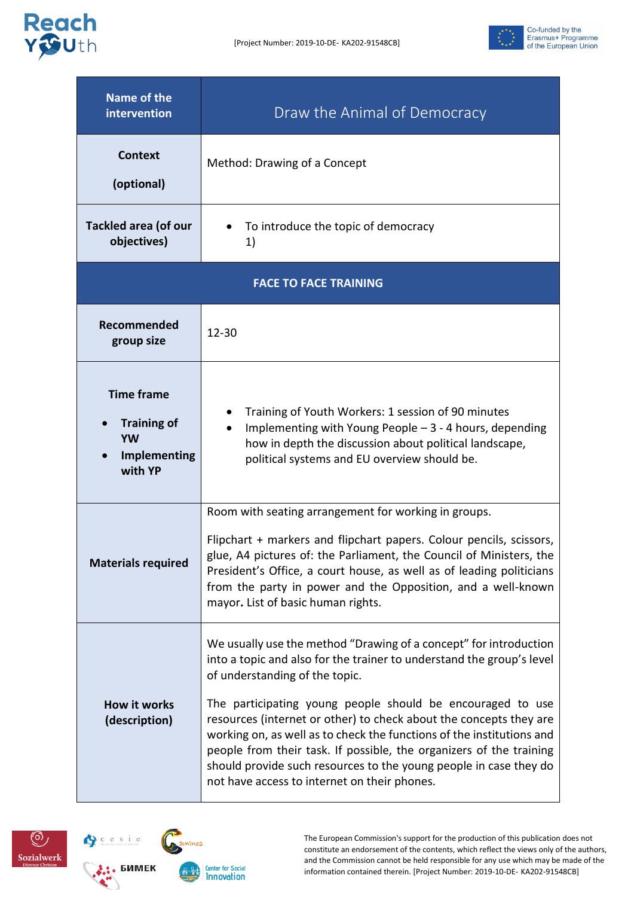



| <b>Name of the</b><br>intervention                                       | Draw the Animal of Democracy                                                                                                                                                                                                                                                                                                                                                                                                                                                                                                                                                          |  |
|--------------------------------------------------------------------------|---------------------------------------------------------------------------------------------------------------------------------------------------------------------------------------------------------------------------------------------------------------------------------------------------------------------------------------------------------------------------------------------------------------------------------------------------------------------------------------------------------------------------------------------------------------------------------------|--|
| <b>Context</b><br>(optional)                                             | Method: Drawing of a Concept                                                                                                                                                                                                                                                                                                                                                                                                                                                                                                                                                          |  |
| <b>Tackled area (of our</b><br>objectives)                               | To introduce the topic of democracy<br>1)                                                                                                                                                                                                                                                                                                                                                                                                                                                                                                                                             |  |
| <b>FACE TO FACE TRAINING</b>                                             |                                                                                                                                                                                                                                                                                                                                                                                                                                                                                                                                                                                       |  |
| Recommended<br>group size                                                | $12 - 30$                                                                                                                                                                                                                                                                                                                                                                                                                                                                                                                                                                             |  |
| <b>Time frame</b><br><b>Training of</b><br>YW<br>Implementing<br>with YP | Training of Youth Workers: 1 session of 90 minutes<br>Implementing with Young People $-3 - 4$ hours, depending<br>how in depth the discussion about political landscape,<br>political systems and EU overview should be.                                                                                                                                                                                                                                                                                                                                                              |  |
| <b>Materials required</b>                                                | Room with seating arrangement for working in groups.<br>Flipchart + markers and flipchart papers. Colour pencils, scissors,<br>glue, A4 pictures of: the Parliament, the Council of Ministers, the<br>President's Office, a court house, as well as of leading politicians<br>from the party in power and the Opposition, and a well-known<br>mayor. List of basic human rights.                                                                                                                                                                                                      |  |
| <b>How it works</b><br>(description)                                     | We usually use the method "Drawing of a concept" for introduction<br>into a topic and also for the trainer to understand the group's level<br>of understanding of the topic.<br>The participating young people should be encouraged to use<br>resources (internet or other) to check about the concepts they are<br>working on, as well as to check the functions of the institutions and<br>people from their task. If possible, the organizers of the training<br>should provide such resources to the young people in case they do<br>not have access to internet on their phones. |  |





**Center for Social** Innovation

The European Commission's support for the production of this publication does not constitute an endorsement of the contents, which reflect the views only of the authors, and the Commission cannot be held responsible for any use which may be made of the information contained therein. [Project Number: 2019-10-DE- KA202-91548CB]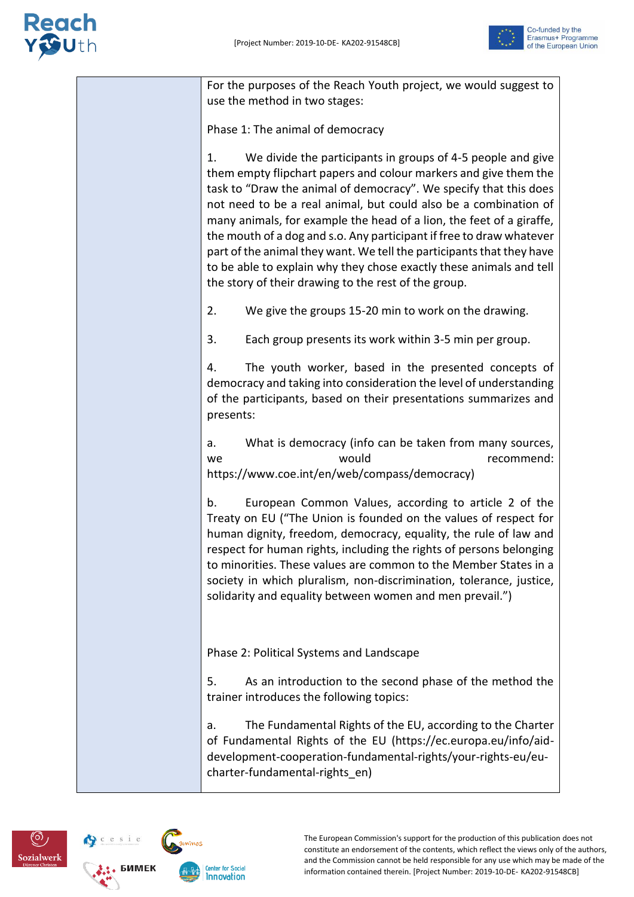

For the purposes of the Reach Youth project, we would suggest to use the method in two stages:

Phase 1: The animal of democracy

1. We divide the participants in groups of 4-5 people and give them empty flipchart papers and colour markers and give them the task to "Draw the animal of democracy". We specify that this does not need to be a real animal, but could also be a combination of many animals, for example the head of a lion, the feet of a giraffe, the mouth of a dog and s.o. Any participant if free to draw whatever part of the animal they want. We tell the participants that they have to be able to explain why they chose exactly these animals and tell the story of their drawing to the rest of the group.

2. We give the groups 15-20 min to work on the drawing.

3. Each group presents its work within 3-5 min per group.

4. The youth worker, based in the presented concepts of democracy and taking into consideration the level of understanding of the participants, based on their presentations summarizes and presents:

a. What is democracy (info can be taken from many sources, we would recommend: https://www.coe.int/en/web/compass/democracy)

b. European Common Values, according to article 2 of the Treaty on EU ("The Union is founded on the values of respect for human dignity, freedom, democracy, equality, the rule of law and respect for human rights, including the rights of persons belonging to minorities. These values are common to the Member States in a society in which pluralism, non-discrimination, tolerance, justice, solidarity and equality between women and men prevail.")

Phase 2: Political Systems and Landscape

5. As an introduction to the second phase of the method the trainer introduces the following topics:

a. The Fundamental Rights of the EU, according to the Charter of Fundamental Rights of the EU (https://ec.europa.eu/info/aiddevelopment-cooperation-fundamental-rights/your-rights-eu/eucharter-fundamental-rights\_en)



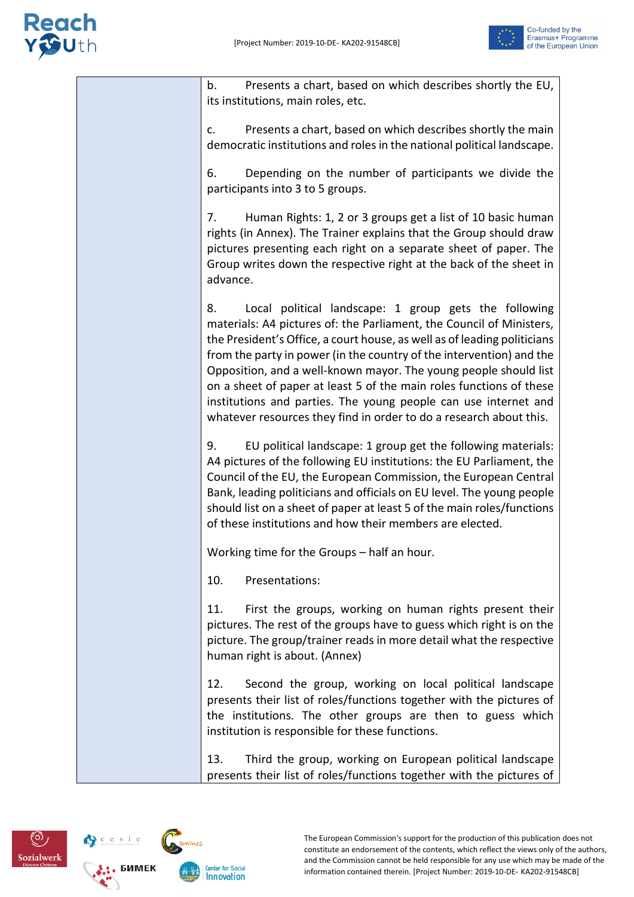#### **leach**



b. Presents a chart, based on which describes shortly the EU, its institutions, main roles, etc. c. Presents a chart, based on which describes shortly the main democratic institutions and roles in the national political landscape. 6. Depending on the number of participants we divide the participants into 3 to 5 groups. 7. Human Rights: 1, 2 or 3 groups get a list of 10 basic human rights (in Annex). The Trainer explains that the Group should draw pictures presenting each right on a separate sheet of paper. The Group writes down the respective right at the back of the sheet in advance. 8. Local political landscape: 1 group gets the following materials: A4 pictures of: the Parliament, the Council of Ministers, the President's Office, a court house, as well as of leading politicians from the party in power (in the country of the intervention) and the Opposition, and a well-known mayor. The young people should list on a sheet of paper at least 5 of the main roles functions of these institutions and parties. The young people can use internet and whatever resources they find in order to do a research about this. 9. EU political landscape: 1 group get the following materials: A4 pictures of the following EU institutions: the EU Parliament, the Council of the EU, the European Commission, the European Central Bank, leading politicians and officials on EU level. The young people should list on a sheet of paper at least 5 of the main roles/functions of these institutions and how their members are elected. Working time for the Groups – half an hour. 10. Presentations: 11. First the groups, working on human rights present their pictures. The rest of the groups have to guess which right is on the picture. The group/trainer reads in more detail what the respective human right is about. (Annex) 12. Second the group, working on local political landscape presents their list of roles/functions together with the pictures of the institutions. The other groups are then to guess which institution is responsible for these functions. 13. Third the group, working on European political landscape presents their list of roles/functions together with the pictures of

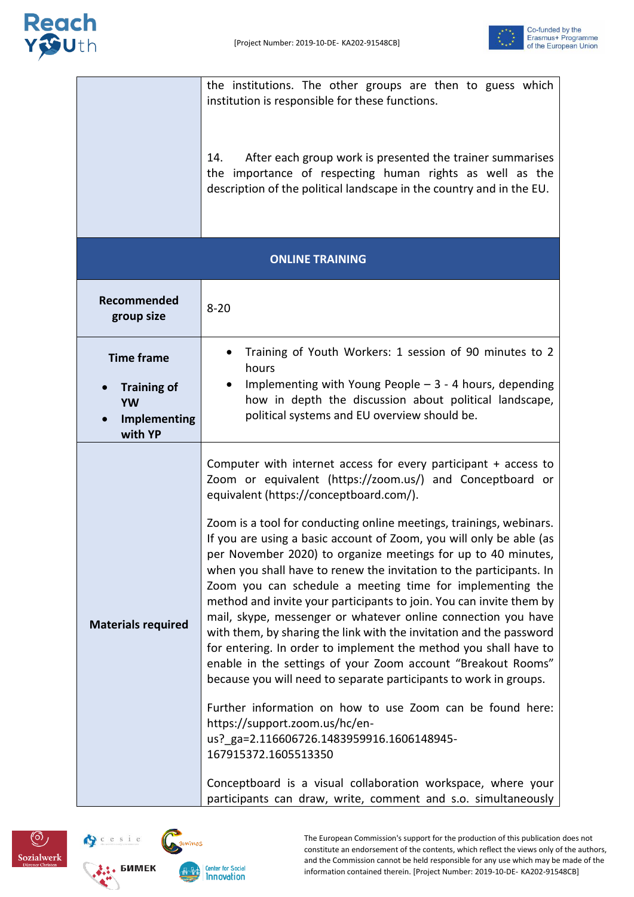



|                                                            | the institutions. The other groups are then to guess which<br>institution is responsible for these functions.                                                                                                                                                                                                                                                                                                                                                                                                                                                                                                                                                                                                                                                                                                                                                                                                                                                                                                                                                                                                                                                                                                                                             |  |
|------------------------------------------------------------|-----------------------------------------------------------------------------------------------------------------------------------------------------------------------------------------------------------------------------------------------------------------------------------------------------------------------------------------------------------------------------------------------------------------------------------------------------------------------------------------------------------------------------------------------------------------------------------------------------------------------------------------------------------------------------------------------------------------------------------------------------------------------------------------------------------------------------------------------------------------------------------------------------------------------------------------------------------------------------------------------------------------------------------------------------------------------------------------------------------------------------------------------------------------------------------------------------------------------------------------------------------|--|
|                                                            | 14.<br>After each group work is presented the trainer summarises<br>the importance of respecting human rights as well as the<br>description of the political landscape in the country and in the EU.                                                                                                                                                                                                                                                                                                                                                                                                                                                                                                                                                                                                                                                                                                                                                                                                                                                                                                                                                                                                                                                      |  |
| <b>ONLINE TRAINING</b>                                     |                                                                                                                                                                                                                                                                                                                                                                                                                                                                                                                                                                                                                                                                                                                                                                                                                                                                                                                                                                                                                                                                                                                                                                                                                                                           |  |
| Recommended<br>group size                                  | $8 - 20$                                                                                                                                                                                                                                                                                                                                                                                                                                                                                                                                                                                                                                                                                                                                                                                                                                                                                                                                                                                                                                                                                                                                                                                                                                                  |  |
| <b>Time frame</b>                                          | Training of Youth Workers: 1 session of 90 minutes to 2<br>hours                                                                                                                                                                                                                                                                                                                                                                                                                                                                                                                                                                                                                                                                                                                                                                                                                                                                                                                                                                                                                                                                                                                                                                                          |  |
| <b>Training of</b><br>YW<br><b>Implementing</b><br>with YP | Implementing with Young People $-3 - 4$ hours, depending<br>how in depth the discussion about political landscape,<br>political systems and EU overview should be.                                                                                                                                                                                                                                                                                                                                                                                                                                                                                                                                                                                                                                                                                                                                                                                                                                                                                                                                                                                                                                                                                        |  |
| <b>Materials required</b>                                  | Computer with internet access for every participant $+$ access to<br>Zoom or equivalent (https://zoom.us/) and Conceptboard or<br>equivalent (https://conceptboard.com/).<br>Zoom is a tool for conducting online meetings, trainings, webinars.<br>If you are using a basic account of Zoom, you will only be able (as<br>per November 2020) to organize meetings for up to 40 minutes,<br>when you shall have to renew the invitation to the participants. In<br>Zoom you can schedule a meeting time for implementing the<br>method and invite your participants to join. You can invite them by<br>mail, skype, messenger or whatever online connection you have<br>with them, by sharing the link with the invitation and the password<br>for entering. In order to implement the method you shall have to<br>enable in the settings of your Zoom account "Breakout Rooms"<br>because you will need to separate participants to work in groups.<br>Further information on how to use Zoom can be found here:<br>https://support.zoom.us/hc/en-<br>us? ga=2.116606726.1483959916.1606148945-<br>167915372.1605513350<br>Conceptboard is a visual collaboration workspace, where your<br>participants can draw, write, comment and s.o. simultaneously |  |



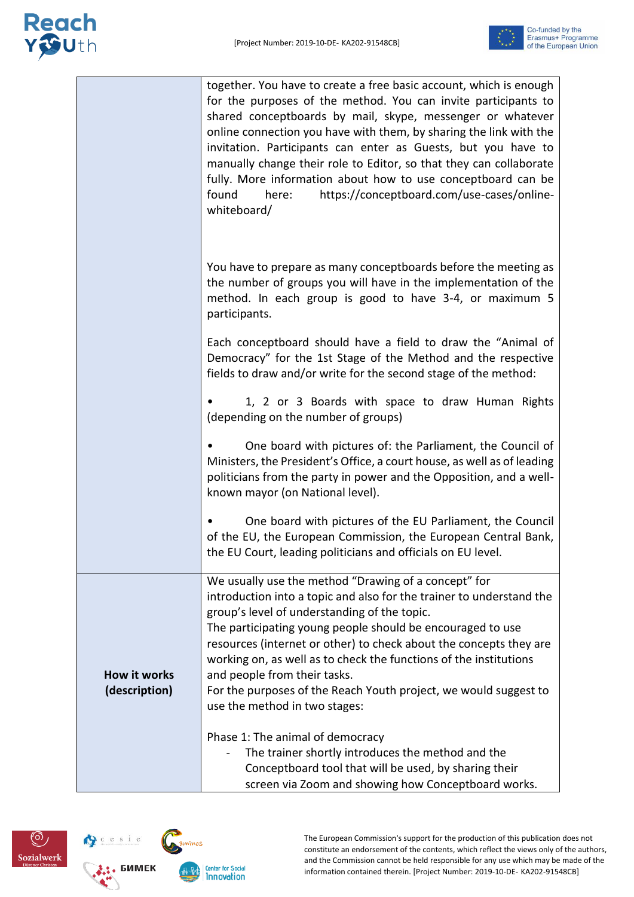# Reach<br>Y Juth



|                                      | together. You have to create a free basic account, which is enough<br>for the purposes of the method. You can invite participants to<br>shared conceptboards by mail, skype, messenger or whatever<br>online connection you have with them, by sharing the link with the<br>invitation. Participants can enter as Guests, but you have to<br>manually change their role to Editor, so that they can collaborate<br>fully. More information about how to use conceptboard can be<br>https://conceptboard.com/use-cases/online-<br>found<br>here:<br>whiteboard/ |
|--------------------------------------|----------------------------------------------------------------------------------------------------------------------------------------------------------------------------------------------------------------------------------------------------------------------------------------------------------------------------------------------------------------------------------------------------------------------------------------------------------------------------------------------------------------------------------------------------------------|
|                                      | You have to prepare as many conceptboards before the meeting as<br>the number of groups you will have in the implementation of the<br>method. In each group is good to have 3-4, or maximum 5<br>participants.                                                                                                                                                                                                                                                                                                                                                 |
|                                      | Each conceptboard should have a field to draw the "Animal of<br>Democracy" for the 1st Stage of the Method and the respective<br>fields to draw and/or write for the second stage of the method:                                                                                                                                                                                                                                                                                                                                                               |
|                                      | 1, 2 or 3 Boards with space to draw Human Rights<br>(depending on the number of groups)                                                                                                                                                                                                                                                                                                                                                                                                                                                                        |
|                                      | One board with pictures of: the Parliament, the Council of<br>Ministers, the President's Office, a court house, as well as of leading<br>politicians from the party in power and the Opposition, and a well-<br>known mayor (on National level).                                                                                                                                                                                                                                                                                                               |
|                                      | One board with pictures of the EU Parliament, the Council<br>of the EU, the European Commission, the European Central Bank,<br>the EU Court, leading politicians and officials on EU level.                                                                                                                                                                                                                                                                                                                                                                    |
| <b>How it works</b><br>(description) | We usually use the method "Drawing of a concept" for<br>introduction into a topic and also for the trainer to understand the<br>group's level of understanding of the topic.<br>The participating young people should be encouraged to use<br>resources (internet or other) to check about the concepts they are<br>working on, as well as to check the functions of the institutions<br>and people from their tasks.<br>For the purposes of the Reach Youth project, we would suggest to<br>use the method in two stages:                                     |
|                                      | Phase 1: The animal of democracy<br>The trainer shortly introduces the method and the<br>Conceptboard tool that will be used, by sharing their<br>screen via Zoom and showing how Conceptboard works.                                                                                                                                                                                                                                                                                                                                                          |



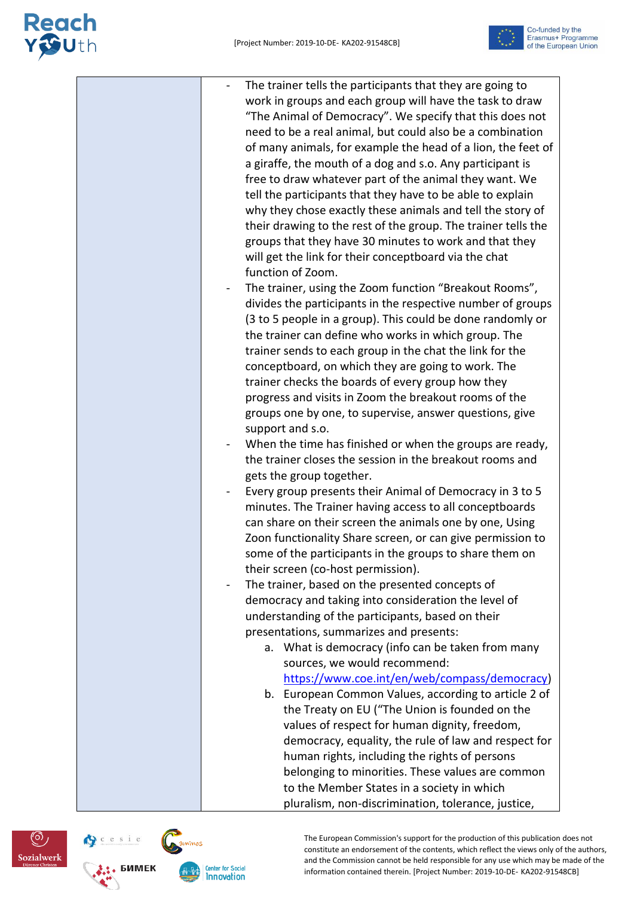## Reach<br>Y Suth







**Center for Social** Innovation

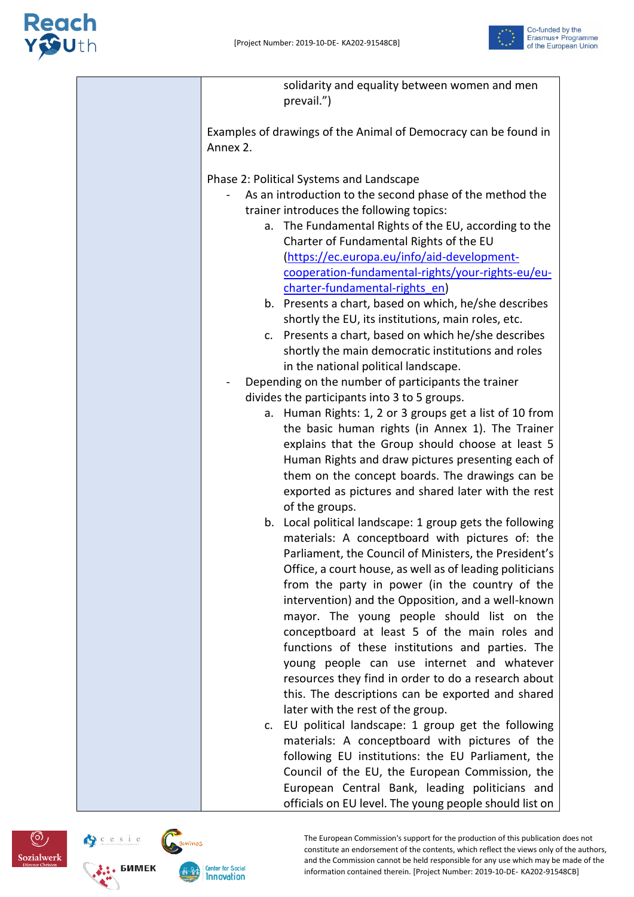



| solidarity and equality between women and men<br>prevail.")                                      |
|--------------------------------------------------------------------------------------------------|
| Examples of drawings of the Animal of Democracy can be found in<br>Annex 2.                      |
| Phase 2: Political Systems and Landscape                                                         |
| As an introduction to the second phase of the method the                                         |
| trainer introduces the following topics:                                                         |
| a. The Fundamental Rights of the EU, according to the<br>Charter of Fundamental Rights of the EU |
| (https://ec.europa.eu/info/aid-development-                                                      |
| cooperation-fundamental-rights/your-rights-eu/eu-                                                |
| charter-fundamental-rights en)                                                                   |
| b. Presents a chart, based on which, he/she describes                                            |
| shortly the EU, its institutions, main roles, etc.                                               |
| c. Presents a chart, based on which he/she describes                                             |
| shortly the main democratic institutions and roles                                               |
|                                                                                                  |
| in the national political landscape.                                                             |
| Depending on the number of participants the trainer                                              |
| divides the participants into 3 to 5 groups.                                                     |
| Human Rights: 1, 2 or 3 groups get a list of 10 from<br>а.                                       |
| the basic human rights (in Annex 1). The Trainer                                                 |
| explains that the Group should choose at least 5                                                 |
| Human Rights and draw pictures presenting each of                                                |
| them on the concept boards. The drawings can be                                                  |
| exported as pictures and shared later with the rest                                              |
| of the groups.                                                                                   |
| b. Local political landscape: 1 group gets the following                                         |
| materials: A conceptboard with pictures of: the                                                  |
| Parliament, the Council of Ministers, the President's                                            |
| Office, a court house, as well as of leading politicians                                         |
| from the party in power (in the country of the                                                   |
| intervention) and the Opposition, and a well-known                                               |
| mayor. The young people should list on the                                                       |
| conceptboard at least 5 of the main roles and                                                    |
| functions of these institutions and parties. The                                                 |
| young people can use internet and whatever                                                       |
| resources they find in order to do a research about                                              |
| this. The descriptions can be exported and shared                                                |
| later with the rest of the group.                                                                |
| c. EU political landscape: 1 group get the following                                             |
| materials: A conceptboard with pictures of the                                                   |
| following EU institutions: the EU Parliament, the                                                |
| Council of the EU, the European Commission, the                                                  |
| European Central Bank, leading politicians and                                                   |
| officials on EU level. The young people should list on                                           |

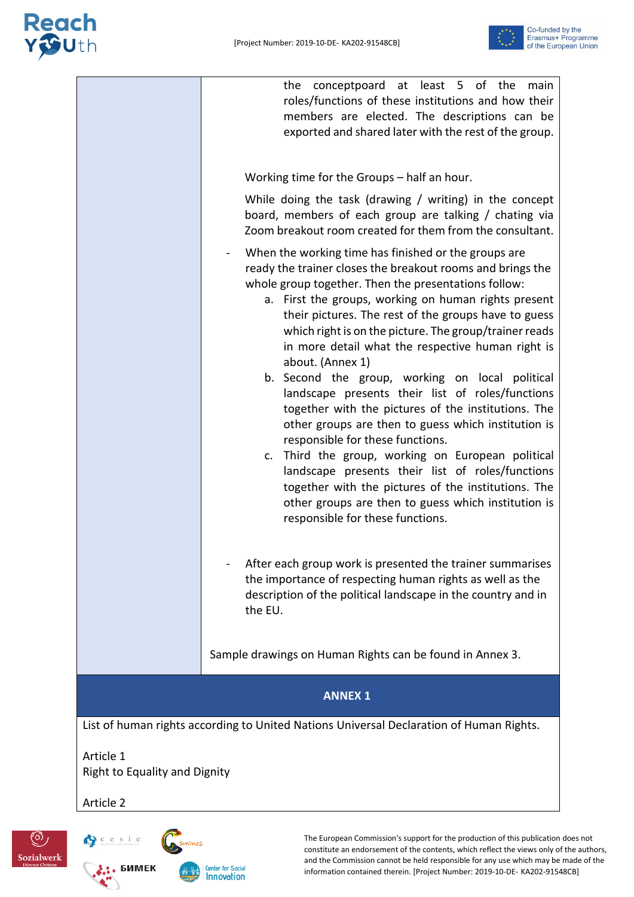### Reach<br>Y Suth



|                                                   | the conceptpoard at least 5 of the<br>main<br>roles/functions of these institutions and how their<br>members are elected. The descriptions can be<br>exported and shared later with the rest of the group.                                                                                                                                                                                                                                                                                                                                                                                                                                                                                                                                                                                                                                                                                                                                        |  |
|---------------------------------------------------|---------------------------------------------------------------------------------------------------------------------------------------------------------------------------------------------------------------------------------------------------------------------------------------------------------------------------------------------------------------------------------------------------------------------------------------------------------------------------------------------------------------------------------------------------------------------------------------------------------------------------------------------------------------------------------------------------------------------------------------------------------------------------------------------------------------------------------------------------------------------------------------------------------------------------------------------------|--|
|                                                   | Working time for the Groups - half an hour.                                                                                                                                                                                                                                                                                                                                                                                                                                                                                                                                                                                                                                                                                                                                                                                                                                                                                                       |  |
|                                                   | While doing the task (drawing / writing) in the concept<br>board, members of each group are talking / chating via<br>Zoom breakout room created for them from the consultant.                                                                                                                                                                                                                                                                                                                                                                                                                                                                                                                                                                                                                                                                                                                                                                     |  |
|                                                   | When the working time has finished or the groups are<br>ready the trainer closes the breakout rooms and brings the<br>whole group together. Then the presentations follow:<br>a. First the groups, working on human rights present<br>their pictures. The rest of the groups have to guess<br>which right is on the picture. The group/trainer reads<br>in more detail what the respective human right is<br>about. (Annex 1)<br>b. Second the group, working on local political<br>landscape presents their list of roles/functions<br>together with the pictures of the institutions. The<br>other groups are then to guess which institution is<br>responsible for these functions.<br>c. Third the group, working on European political<br>landscape presents their list of roles/functions<br>together with the pictures of the institutions. The<br>other groups are then to guess which institution is<br>responsible for these functions. |  |
|                                                   | After each group work is presented the trainer summarises<br>the importance of respecting human rights as well as the<br>description of the political landscape in the country and in<br>the EU.                                                                                                                                                                                                                                                                                                                                                                                                                                                                                                                                                                                                                                                                                                                                                  |  |
|                                                   | Sample drawings on Human Rights can be found in Annex 3.                                                                                                                                                                                                                                                                                                                                                                                                                                                                                                                                                                                                                                                                                                                                                                                                                                                                                          |  |
|                                                   | <b>ANNEX 1</b>                                                                                                                                                                                                                                                                                                                                                                                                                                                                                                                                                                                                                                                                                                                                                                                                                                                                                                                                    |  |
|                                                   | List of human rights according to United Nations Universal Declaration of Human Rights.                                                                                                                                                                                                                                                                                                                                                                                                                                                                                                                                                                                                                                                                                                                                                                                                                                                           |  |
| Article 1<br><b>Right to Equality and Dignity</b> |                                                                                                                                                                                                                                                                                                                                                                                                                                                                                                                                                                                                                                                                                                                                                                                                                                                                                                                                                   |  |
| Article 2                                         |                                                                                                                                                                                                                                                                                                                                                                                                                                                                                                                                                                                                                                                                                                                                                                                                                                                                                                                                                   |  |



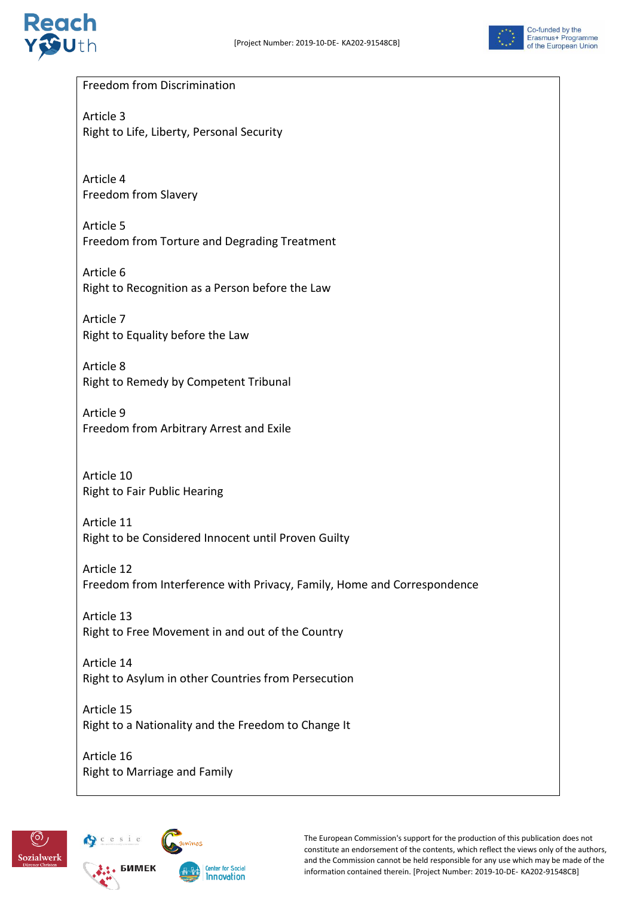



#### Freedom from Discrimination

Article 3 Right to Life, Liberty, Personal Security

Article 4 Freedom from Slavery

Article 5 Freedom from Torture and Degrading Treatment

Article 6 Right to Recognition as a Person before the Law

Article 7 Right to Equality before the Law

Article 8 Right to Remedy by Competent Tribunal

Article 9 Freedom from Arbitrary Arrest and Exile

Article 10 Right to Fair Public Hearing

Article 11 Right to be Considered Innocent until Proven Guilty

Article 12 Freedom from Interference with Privacy, Family, Home and Correspondence

Article 13 Right to Free Movement in and out of the Country

Article 14 Right to Asylum in other Countries from Persecution

Article 15 Right to a Nationality and the Freedom to Change It

Article 16 Right to Marriage and Family



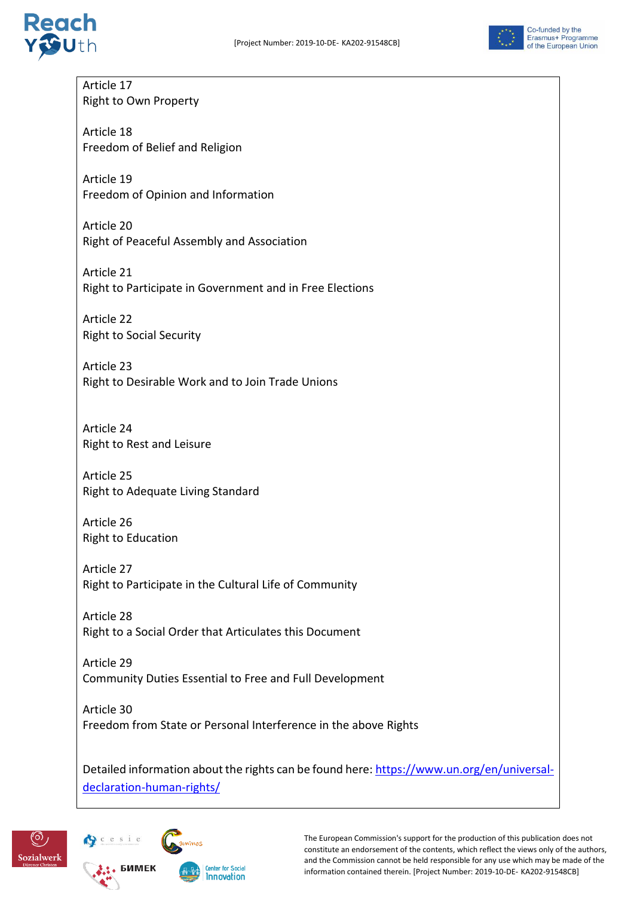



Article 17 Right to Own Property

Article 18 Freedom of Belief and Religion

Article 19 Freedom of Opinion and Information

Article 20 Right of Peaceful Assembly and Association

Article 21 Right to Participate in Government and in Free Elections

Article 22 Right to Social Security

Article 23 Right to Desirable Work and to Join Trade Unions

Article 24 Right to Rest and Leisure

Article 25 Right to Adequate Living Standard

Article 26 Right to Education

Article 27 Right to Participate in the Cultural Life of Community

Article 28 Right to a Social Order that Articulates this Document

Article 29 Community Duties Essential to Free and Full Development

Article 30 Freedom from State or Personal Interference in the above Rights

Detailed information about the rights can be found here[: https://www.un.org/en/universal](https://www.un.org/en/universal-declaration-human-rights/)[declaration-human-rights/](https://www.un.org/en/universal-declaration-human-rights/)

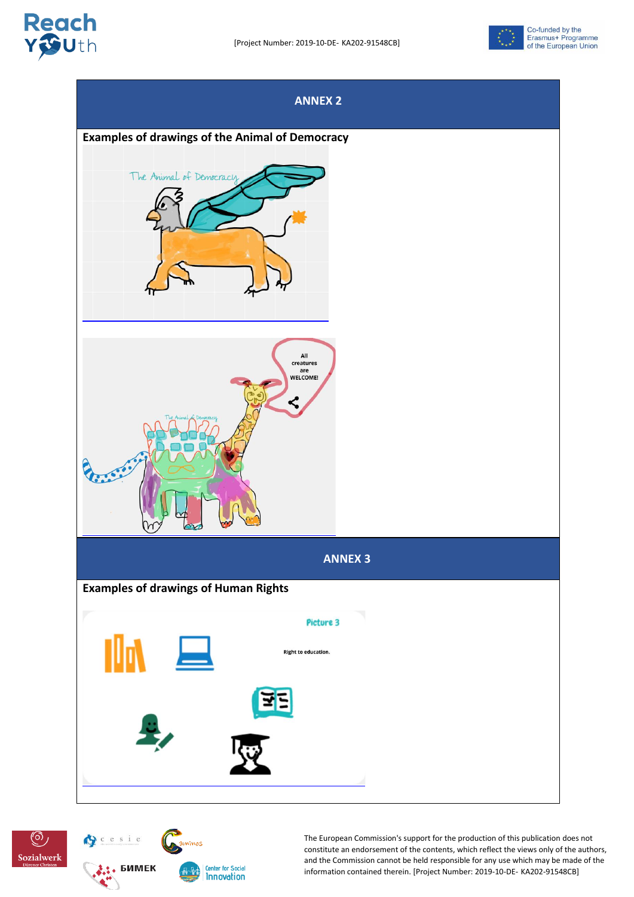